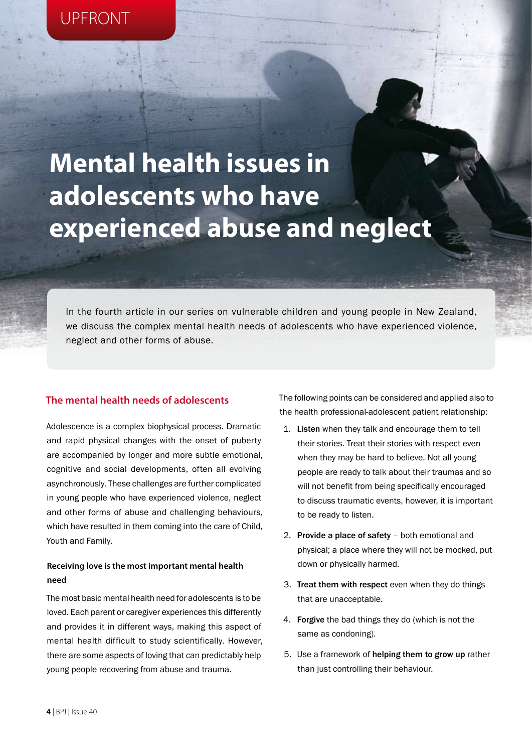# **Mental health issues in adolescents who have experienced abuse and neglect**

In the fourth article in our series on vulnerable children and young people in New Zealand, we discuss the complex mental health needs of adolescents who have experienced violence, neglect and other forms of abuse.

## **The mental health needs of adolescents**

Adolescence is a complex biophysical process. Dramatic and rapid physical changes with the onset of puberty are accompanied by longer and more subtle emotional, cognitive and social developments, often all evolving asynchronously. These challenges are further complicated in young people who have experienced violence, neglect and other forms of abuse and challenging behaviours, which have resulted in them coming into the care of Child, Youth and Family.

# **Receiving love is the most important mental health need**

The most basic mental health need for adolescents is to be loved. Each parent or caregiver experiences this differently and provides it in different ways, making this aspect of mental health difficult to study scientifically. However, there are some aspects of loving that can predictably help young people recovering from abuse and trauma.

The following points can be considered and applied also to the health professional-adolescent patient relationship:

- 1. Listen when they talk and encourage them to tell their stories. Treat their stories with respect even when they may be hard to believe. Not all young people are ready to talk about their traumas and so will not benefit from being specifically encouraged to discuss traumatic events, however, it is important to be ready to listen.
- 2. Provide a place of safety both emotional and physical; a place where they will not be mocked, put down or physically harmed.
- 3. Treat them with respect even when they do things that are unacceptable.
- 4. Forgive the bad things they do (which is not the same as condoning).
- 5. Use a framework of helping them to grow up rather than just controlling their behaviour.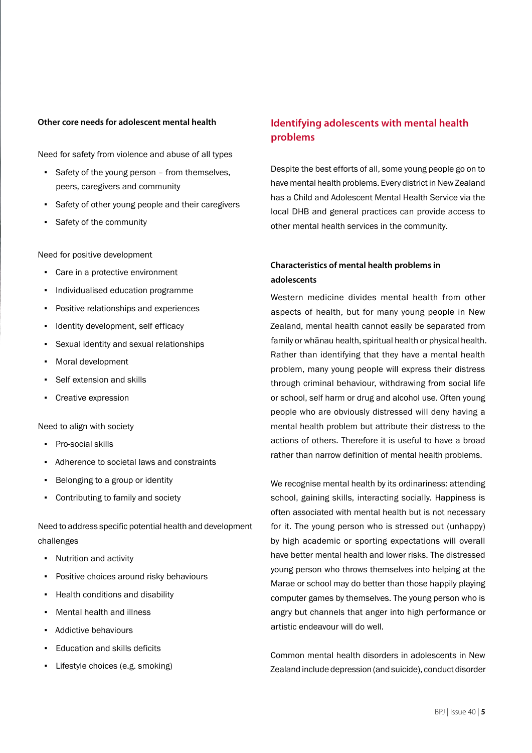## **Other core needs for adolescent mental health**

Need for safety from violence and abuse of all types

- Safety of the young person from themselves, peers, caregivers and community
- Safety of other young people and their caregivers
- Safety of the community

Need for positive development

- Care in a protective environment
- Individualised education programme
- Positive relationships and experiences
- Identity development, self efficacy
- Sexual identity and sexual relationships
- Moral development
- Self extension and skills
- Creative expression

Need to align with society

- Pro-social skills
- Adherence to societal laws and constraints
- Belonging to a group or identity
- Contributing to family and society

Need to address specific potential health and development challenges

- Nutrition and activity
- **•** Positive choices around risky behaviours
- Health conditions and disability
- **Mental health and illness**
- Addictive behaviours
- Education and skills deficits
- Lifestyle choices (e.g. smoking)

# **Identifying adolescents with mental health problems**

Despite the best efforts of all, some young people go on to have mental health problems. Every district in New Zealand has a Child and Adolescent Mental Health Service via the local DHB and general practices can provide access to other mental health services in the community.

# **Characteristics of mental health problems in adolescents**

Western medicine divides mental health from other aspects of health, but for many young people in New Zealand, mental health cannot easily be separated from family or whānau health, spiritual health or physical health. Rather than identifying that they have a mental health problem, many young people will express their distress through criminal behaviour, withdrawing from social life or school, self harm or drug and alcohol use. Often young people who are obviously distressed will deny having a mental health problem but attribute their distress to the actions of others. Therefore it is useful to have a broad rather than narrow definition of mental health problems.

We recognise mental health by its ordinariness: attending school, gaining skills, interacting socially. Happiness is often associated with mental health but is not necessary for it. The young person who is stressed out (unhappy) by high academic or sporting expectations will overall have better mental health and lower risks. The distressed young person who throws themselves into helping at the Marae or school may do better than those happily playing computer games by themselves. The young person who is angry but channels that anger into high performance or artistic endeavour will do well.

Common mental health disorders in adolescents in New Zealand include depression (and suicide), conduct disorder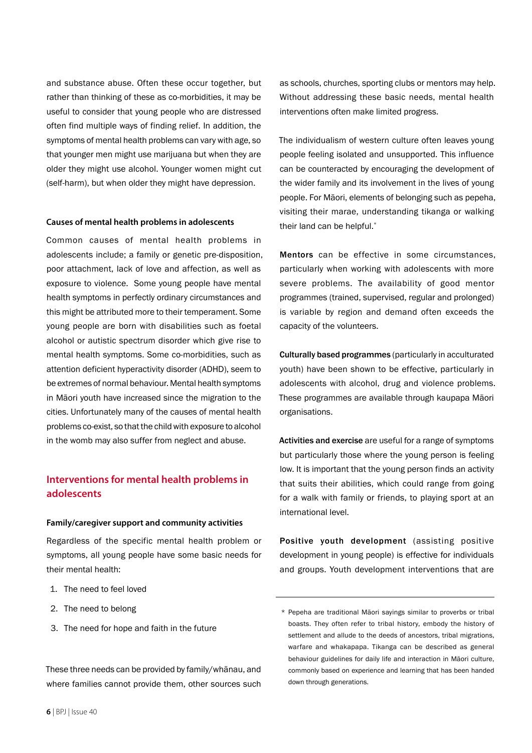and substance abuse. Often these occur together, but rather than thinking of these as co-morbidities, it may be useful to consider that young people who are distressed often find multiple ways of finding relief. In addition, the symptoms of mental health problems can vary with age, so that younger men might use marijuana but when they are older they might use alcohol. Younger women might cut (self-harm), but when older they might have depression.

#### **Causes of mental health problems in adolescents**

Common causes of mental health problems in adolescents include; a family or genetic pre-disposition, poor attachment, lack of love and affection, as well as exposure to violence. Some young people have mental health symptoms in perfectly ordinary circumstances and this might be attributed more to their temperament. Some young people are born with disabilities such as foetal alcohol or autistic spectrum disorder which give rise to mental health symptoms. Some co-morbidities, such as attention deficient hyperactivity disorder (ADHD), seem to be extremes of normal behaviour. Mental health symptoms in Māori youth have increased since the migration to the cities. Unfortunately many of the causes of mental health problems co-exist, so that the child with exposure to alcohol in the womb may also suffer from neglect and abuse.

# **Interventions for mental health problems in adolescents**

#### **Family/caregiver support and community activities**

Regardless of the specific mental health problem or symptoms, all young people have some basic needs for their mental health:

- 1. The need to feel loved
- 2. The need to belong
- 3. The need for hope and faith in the future

These three needs can be provided by family/whānau, and where families cannot provide them, other sources such

as schools, churches, sporting clubs or mentors may help. Without addressing these basic needs, mental health interventions often make limited progress.

The individualism of western culture often leaves young people feeling isolated and unsupported. This influence can be counteracted by encouraging the development of the wider family and its involvement in the lives of young people. For Māori, elements of belonging such as pepeha, visiting their marae, understanding tikanga or walking their land can be helpful.\*

Mentors can be effective in some circumstances, particularly when working with adolescents with more severe problems. The availability of good mentor programmes (trained, supervised, regular and prolonged) is variable by region and demand often exceeds the capacity of the volunteers.

Culturally based programmes (particularly in acculturated youth) have been shown to be effective, particularly in adolescents with alcohol, drug and violence problems. These programmes are available through kaupapa Māori organisations.

Activities and exercise are useful for a range of symptoms but particularly those where the young person is feeling low. It is important that the young person finds an activity that suits their abilities, which could range from going for a walk with family or friends, to playing sport at an international level.

Positive youth development (assisting positive development in young people) is effective for individuals and groups. Youth development interventions that are

<sup>\*</sup> Pepeha are traditional Māori sayings similar to proverbs or tribal boasts. They often refer to tribal history, embody the history of settlement and allude to the deeds of ancestors, tribal migrations, warfare and whakapapa. Tikanga can be described as general behaviour guidelines for daily life and interaction in Māori culture, commonly based on experience and learning that has been handed down through generations.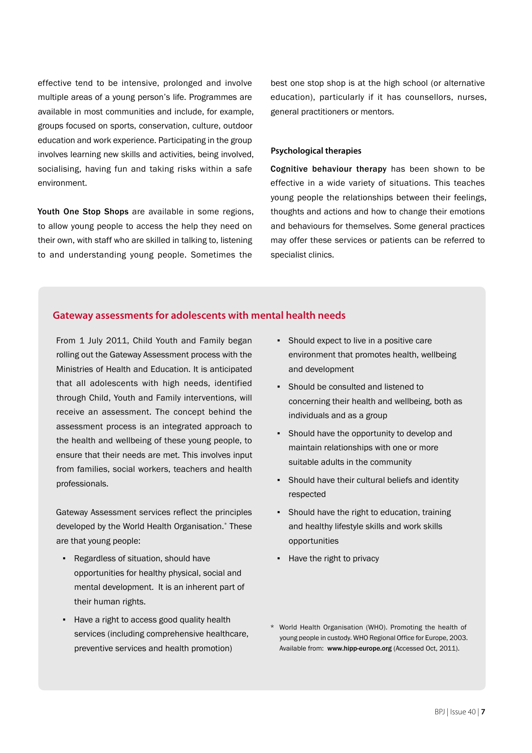effective tend to be intensive, prolonged and involve multiple areas of a young person's life. Programmes are available in most communities and include, for example, groups focused on sports, conservation, culture, outdoor education and work experience. Participating in the group involves learning new skills and activities, being involved, socialising, having fun and taking risks within a safe environment.

Youth One Stop Shops are available in some regions, to allow young people to access the help they need on their own, with staff who are skilled in talking to, listening to and understanding young people. Sometimes the

best one stop shop is at the high school (or alternative education), particularly if it has counsellors, nurses, general practitioners or mentors.

## **Psychological therapies**

Cognitive behaviour therapy has been shown to be effective in a wide variety of situations. This teaches young people the relationships between their feelings, thoughts and actions and how to change their emotions and behaviours for themselves. Some general practices may offer these services or patients can be referred to specialist clinics.

## **Gateway assessments for adolescents with mental health needs**

From 1 July 2011, Child Youth and Family began rolling out the Gateway Assessment process with the Ministries of Health and Education. It is anticipated that all adolescents with high needs, identified through Child, Youth and Family interventions, will receive an assessment. The concept behind the assessment process is an integrated approach to the health and wellbeing of these young people, to ensure that their needs are met. This involves input from families, social workers, teachers and health professionals.

Gateway Assessment services reflect the principles developed by the World Health Organisation.\* These are that young people:

- Regardless of situation, should have opportunities for healthy physical, social and mental development. It is an inherent part of their human rights.
- Have a right to access good quality health services (including comprehensive healthcare, preventive services and health promotion)
- Should expect to live in a positive care environment that promotes health, wellbeing and development
- Should be consulted and listened to concerning their health and wellbeing, both as individuals and as a group
- Should have the opportunity to develop and maintain relationships with one or more suitable adults in the community
- Should have their cultural beliefs and identity respected
- Should have the right to education, training and healthy lifestyle skills and work skills opportunities
- Have the right to privacy
- \* World Health Organisation (WHO). Promoting the health of young people in custody. WHO Regional Office for Europe, 2003. Available from: www.hipp-europe.org (Accessed Oct, 2011).